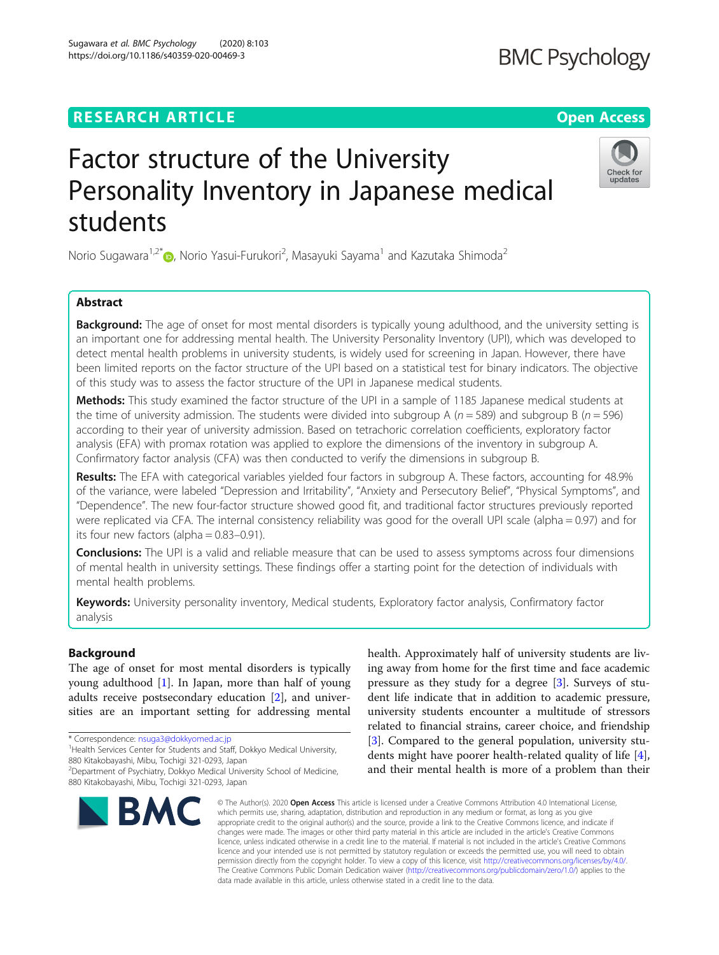# **RESEARCH ARTICLE Example 2014 12:30 The Contract of Contract ACCESS**

# Factor structure of the University Personality Inventory in Japanese medical students

Norio Sugawara<sup>1,2[\\*](http://orcid.org/0000-0001-7058-664X)</sup>®, Norio Yasui-Furukori<sup>2</sup>, Masayuki Sayama<sup>1</sup> and Kazutaka Shimoda<sup>2</sup>

# Abstract

**Background:** The age of onset for most mental disorders is typically young adulthood, and the university setting is an important one for addressing mental health. The University Personality Inventory (UPI), which was developed to detect mental health problems in university students, is widely used for screening in Japan. However, there have been limited reports on the factor structure of the UPI based on a statistical test for binary indicators. The objective of this study was to assess the factor structure of the UPI in Japanese medical students.

Methods: This study examined the factor structure of the UPI in a sample of 1185 Japanese medical students at the time of university admission. The students were divided into subgroup A ( $n = 589$ ) and subgroup B ( $n = 596$ ) according to their year of university admission. Based on tetrachoric correlation coefficients, exploratory factor analysis (EFA) with promax rotation was applied to explore the dimensions of the inventory in subgroup A. Confirmatory factor analysis (CFA) was then conducted to verify the dimensions in subgroup B.

Results: The EFA with categorical variables yielded four factors in subgroup A. These factors, accounting for 48.9% of the variance, were labeled "Depression and Irritability", "Anxiety and Persecutory Belief", "Physical Symptoms", and "Dependence". The new four-factor structure showed good fit, and traditional factor structures previously reported were replicated via CFA. The internal consistency reliability was good for the overall UPI scale (alpha = 0.97) and for its four new factors (alpha  $= 0.83 - 0.91$ ).

**Conclusions:** The UPI is a valid and reliable measure that can be used to assess symptoms across four dimensions of mental health in university settings. These findings offer a starting point for the detection of individuals with mental health problems.

Keywords: University personality inventory, Medical students, Exploratory factor analysis, Confirmatory factor analysis

# Background

The age of onset for most mental disorders is typically young adulthood [[1\]](#page-9-0). In Japan, more than half of young adults receive postsecondary education [\[2](#page-9-0)], and universities are an important setting for addressing mental

health. Approximately half of university students are living away from home for the first time and face academic pressure as they study for a degree [\[3](#page-9-0)]. Surveys of student life indicate that in addition to academic pressure, university students encounter a multitude of stressors related to financial strains, career choice, and friendship [[3\]](#page-9-0). Compared to the general population, university students might have poorer health-related quality of life [\[4](#page-9-0)], and their mental health is more of a problem than their

© The Author(s), 2020 **Open Access** This article is licensed under a Creative Commons Attribution 4.0 International License, which permits use, sharing, adaptation, distribution and reproduction in any medium or format, as long as you give appropriate credit to the original author(s) and the source, provide a link to the Creative Commons licence, and indicate if changes were made. The images or other third party material in this article are included in the article's Creative Commons licence, unless indicated otherwise in a credit line to the material. If material is not included in the article's Creative Commons licence and your intended use is not permitted by statutory regulation or exceeds the permitted use, you will need to obtain permission directly from the copyright holder. To view a copy of this licence, visit [http://creativecommons.org/licenses/by/4.0/.](http://creativecommons.org/licenses/by/4.0/) The Creative Commons Public Domain Dedication waiver [\(http://creativecommons.org/publicdomain/zero/1.0/](http://creativecommons.org/publicdomain/zero/1.0/)) applies to the data made available in this article, unless otherwise stated in a credit line to the data.

<sup>1</sup> Health Services Center for Students and Staff, Dokkyo Medical University,

Sugawara et al. BMC Psychology (2020) 8:103 https://doi.org/10.1186/s40359-020-00469-3





# **BMC Psychology**



<sup>\*</sup> Correspondence: [nsuga3@dokkyomed.ac.jp](mailto:nsuga3@dokkyomed.ac.jp) <sup>1</sup>

<sup>880</sup> Kitakobayashi, Mibu, Tochigi 321-0293, Japan

<sup>2</sup> Department of Psychiatry, Dokkyo Medical University School of Medicine, 880 Kitakobayashi, Mibu, Tochigi 321-0293, Japan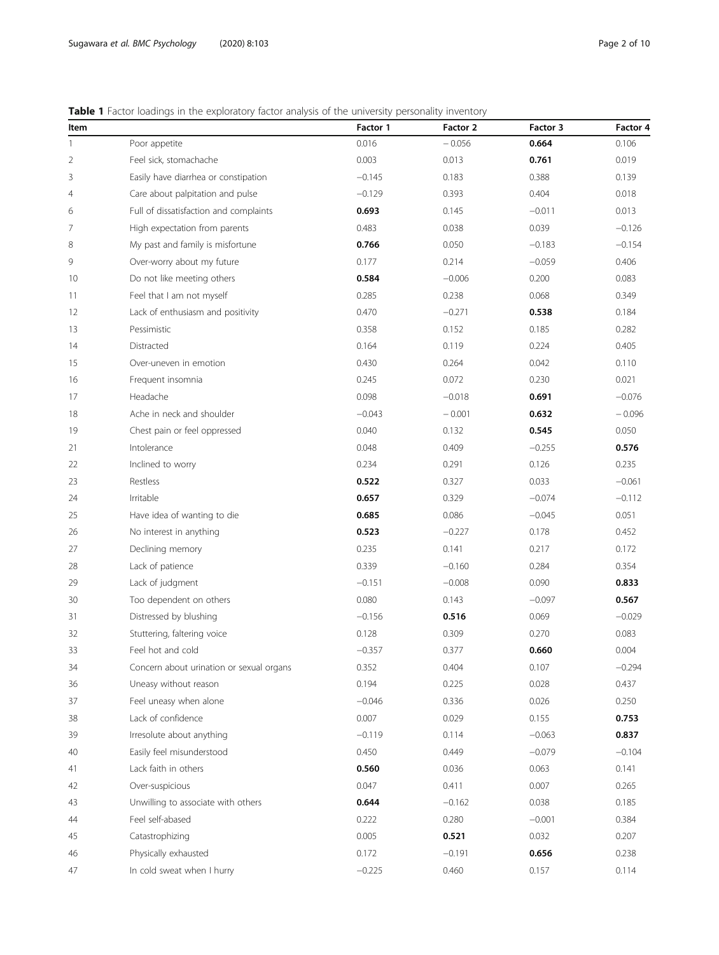# <span id="page-1-0"></span>Table 1 Factor loadings in the exploratory factor analysis of the university personality inventory

| Item           |                                          | Factor 1 | Factor 2 | Factor 3 | Factor 4 |
|----------------|------------------------------------------|----------|----------|----------|----------|
| 1              | Poor appetite                            | 0.016    | $-0.056$ | 0.664    | 0.106    |
| $\overline{2}$ | Feel sick, stomachache                   | 0.003    | 0.013    | 0.761    | 0.019    |
| 3              | Easily have diarrhea or constipation     | $-0.145$ | 0.183    | 0.388    | 0.139    |
| 4              | Care about palpitation and pulse         | $-0.129$ | 0.393    | 0.404    | 0.018    |
| 6              | Full of dissatisfaction and complaints   | 0.693    | 0.145    | $-0.011$ | 0.013    |
| 7              | High expectation from parents            | 0.483    | 0.038    | 0.039    | $-0.126$ |
| 8              | My past and family is misfortune         | 0.766    | 0.050    | $-0.183$ | $-0.154$ |
| 9              | Over-worry about my future               | 0.177    | 0.214    | $-0.059$ | 0.406    |
| 10             | Do not like meeting others               | 0.584    | $-0.006$ | 0.200    | 0.083    |
| 11             | Feel that I am not myself                | 0.285    | 0.238    | 0.068    | 0.349    |
| 12             | Lack of enthusiasm and positivity        | 0.470    | $-0.271$ | 0.538    | 0.184    |
| 13             | Pessimistic                              | 0.358    | 0.152    | 0.185    | 0.282    |
| 14             | Distracted                               | 0.164    | 0.119    | 0.224    | 0.405    |
| 15             | Over-uneven in emotion                   | 0.430    | 0.264    | 0.042    | 0.110    |
| 16             | Frequent insomnia                        | 0.245    | 0.072    | 0.230    | 0.021    |
| 17             | Headache                                 | 0.098    | $-0.018$ | 0.691    | $-0.076$ |
| 18             | Ache in neck and shoulder                | $-0.043$ | $-0.001$ | 0.632    | $-0.096$ |
| 19             | Chest pain or feel oppressed             | 0.040    | 0.132    | 0.545    | 0.050    |
| 21             | Intolerance                              | 0.048    | 0.409    | $-0.255$ | 0.576    |
| 22             | Inclined to worry                        | 0.234    | 0.291    | 0.126    | 0.235    |
| 23             | Restless                                 | 0.522    | 0.327    | 0.033    | $-0.061$ |
| 24             | Irritable                                | 0.657    | 0.329    | $-0.074$ | $-0.112$ |
| 25             | Have idea of wanting to die              | 0.685    | 0.086    | $-0.045$ | 0.051    |
| 26             | No interest in anything                  | 0.523    | $-0.227$ | 0.178    | 0.452    |
| 27             | Declining memory                         | 0.235    | 0.141    | 0.217    | 0.172    |
| 28             | Lack of patience                         | 0.339    | $-0.160$ | 0.284    | 0.354    |
| 29             | Lack of judgment                         | $-0.151$ | $-0.008$ | 0.090    | 0.833    |
| 30             | Too dependent on others                  | 0.080    | 0.143    | $-0.097$ | 0.567    |
| 31             | Distressed by blushing                   | $-0.156$ | 0.516    | 0.069    | $-0.029$ |
| 32             | Stuttering, faltering voice              | 0.128    | 0.309    | 0.270    | 0.083    |
| 33             | Feel hot and cold                        | $-0.357$ | 0.377    | 0.660    | 0.004    |
| 34             | Concern about urination or sexual organs | 0.352    | 0.404    | 0.107    | $-0.294$ |
| 36             | Uneasy without reason                    | 0.194    | 0.225    | 0.028    | 0.437    |
| 37             | Feel uneasy when alone                   | $-0.046$ | 0.336    | 0.026    | 0.250    |
| 38             | Lack of confidence                       | 0.007    | 0.029    | 0.155    | 0.753    |
| 39             | Irresolute about anything                | $-0.119$ | 0.114    | $-0.063$ | 0.837    |
| 40             | Easily feel misunderstood                | 0.450    | 0.449    | $-0.079$ | $-0.104$ |
| 41             | Lack faith in others                     | 0.560    | 0.036    | 0.063    | 0.141    |
| 42             | Over-suspicious                          | 0.047    | 0.411    | 0.007    | 0.265    |
| 43             | Unwilling to associate with others       | 0.644    | $-0.162$ | 0.038    | 0.185    |
| 44             | Feel self-abased                         | 0.222    | 0.280    | $-0.001$ | 0.384    |
| 45             | Catastrophizing                          | 0.005    | 0.521    | 0.032    | 0.207    |
| 46             | Physically exhausted                     | 0.172    | $-0.191$ | 0.656    | 0.238    |
| 47             | In cold sweat when I hurry               | $-0.225$ | 0.460    | 0.157    | 0.114    |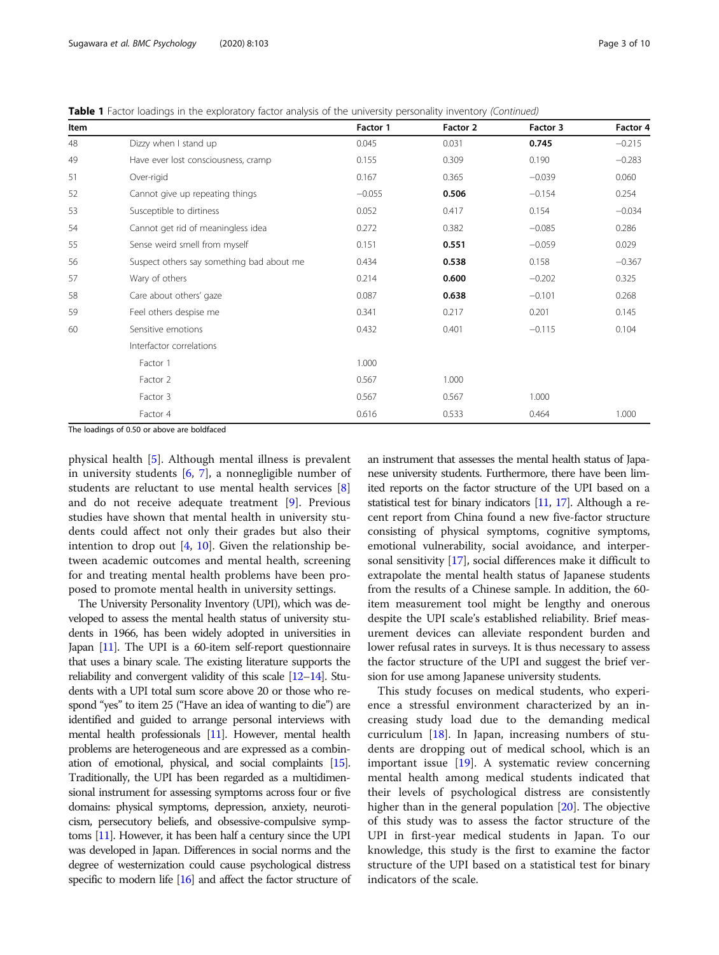Table 1 Factor loadings in the exploratory factor analysis of the university personality inventory (Continued)

| Item |                                           | Factor 1 | Factor 2 | Factor 3 | Factor 4 |
|------|-------------------------------------------|----------|----------|----------|----------|
| 48   | Dizzy when I stand up                     | 0.045    | 0.031    | 0.745    | $-0.215$ |
| 49   | Have ever lost consciousness, cramp       | 0.155    | 0.309    | 0.190    | $-0.283$ |
| 51   | Over-rigid                                | 0.167    | 0.365    | $-0.039$ | 0.060    |
| 52   | Cannot give up repeating things           | $-0.055$ | 0.506    | $-0.154$ | 0.254    |
| 53   | Susceptible to dirtiness                  | 0.052    | 0.417    | 0.154    | $-0.034$ |
| 54   | Cannot get rid of meaningless idea        | 0.272    | 0.382    | $-0.085$ | 0.286    |
| 55   | Sense weird smell from myself             | 0.151    | 0.551    | $-0.059$ | 0.029    |
| 56   | Suspect others say something bad about me | 0.434    | 0.538    | 0.158    | $-0.367$ |
| 57   | Wary of others                            | 0.214    | 0.600    | $-0.202$ | 0.325    |
| 58   | Care about others' gaze                   | 0.087    | 0.638    | $-0.101$ | 0.268    |
| 59   | Feel others despise me                    | 0.341    | 0.217    | 0.201    | 0.145    |
| 60   | Sensitive emotions                        | 0.432    | 0.401    | $-0.115$ | 0.104    |
|      | Interfactor correlations                  |          |          |          |          |
|      | Factor 1                                  | 1.000    |          |          |          |
|      | Factor 2                                  | 0.567    | 1.000    |          |          |
|      | Factor 3                                  | 0.567    | 0.567    | 1.000    |          |
|      | Factor 4                                  | 0.616    | 0.533    | 0.464    | 1.000    |

The loadings of 0.50 or above are boldfaced

physical health [\[5](#page-9-0)]. Although mental illness is prevalent in university students  $[6, 7]$  $[6, 7]$  $[6, 7]$  $[6, 7]$ , a nonnegligible number of students are reluctant to use mental health services [\[8](#page-9-0)] and do not receive adequate treatment [\[9](#page-9-0)]. Previous studies have shown that mental health in university students could affect not only their grades but also their intention to drop out  $[4, 10]$  $[4, 10]$  $[4, 10]$ . Given the relationship between academic outcomes and mental health, screening for and treating mental health problems have been proposed to promote mental health in university settings.

The University Personality Inventory (UPI), which was developed to assess the mental health status of university students in 1966, has been widely adopted in universities in Japan [\[11](#page-9-0)]. The UPI is a 60-item self-report questionnaire that uses a binary scale. The existing literature supports the reliability and convergent validity of this scale [\[12](#page-9-0)–[14](#page-9-0)]. Students with a UPI total sum score above 20 or those who respond "yes" to item 25 ("Have an idea of wanting to die") are identified and guided to arrange personal interviews with mental health professionals [\[11](#page-9-0)]. However, mental health problems are heterogeneous and are expressed as a combination of emotional, physical, and social complaints [\[15\]](#page-9-0). Traditionally, the UPI has been regarded as a multidimensional instrument for assessing symptoms across four or five domains: physical symptoms, depression, anxiety, neuroticism, persecutory beliefs, and obsessive-compulsive symptoms [[11\]](#page-9-0). However, it has been half a century since the UPI was developed in Japan. Differences in social norms and the degree of westernization could cause psychological distress specific to modern life [\[16](#page-9-0)] and affect the factor structure of an instrument that assesses the mental health status of Japanese university students. Furthermore, there have been limited reports on the factor structure of the UPI based on a statistical test for binary indicators [[11,](#page-9-0) [17\]](#page-9-0). Although a recent report from China found a new five-factor structure consisting of physical symptoms, cognitive symptoms, emotional vulnerability, social avoidance, and interpersonal sensitivity [\[17\]](#page-9-0), social differences make it difficult to extrapolate the mental health status of Japanese students from the results of a Chinese sample. In addition, the 60 item measurement tool might be lengthy and onerous despite the UPI scale's established reliability. Brief measurement devices can alleviate respondent burden and lower refusal rates in surveys. It is thus necessary to assess the factor structure of the UPI and suggest the brief version for use among Japanese university students.

This study focuses on medical students, who experience a stressful environment characterized by an increasing study load due to the demanding medical curriculum  $[18]$  $[18]$ . In Japan, increasing numbers of students are dropping out of medical school, which is an important issue [[19\]](#page-9-0). A systematic review concerning mental health among medical students indicated that their levels of psychological distress are consistently higher than in the general population [[20\]](#page-9-0). The objective of this study was to assess the factor structure of the UPI in first-year medical students in Japan. To our knowledge, this study is the first to examine the factor structure of the UPI based on a statistical test for binary indicators of the scale.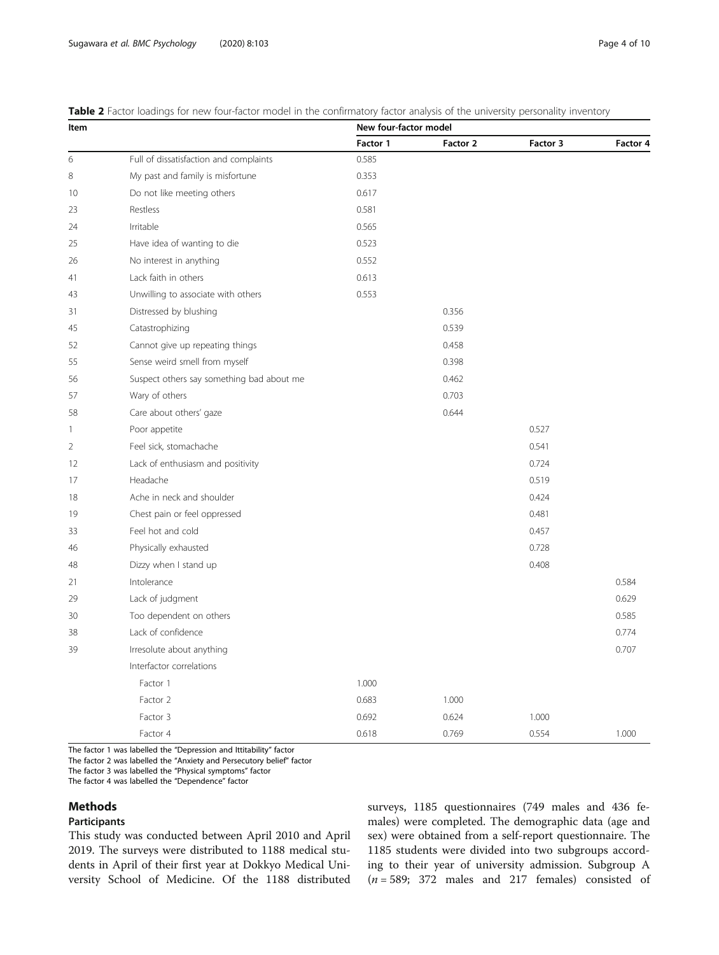<span id="page-3-0"></span>

| Table 2 Factor loadings for new four-factor model in the confirmatory factor analysis of the university personality inventory |  |
|-------------------------------------------------------------------------------------------------------------------------------|--|

| Item |                                           | New four-factor model |          |          |          |  |  |
|------|-------------------------------------------|-----------------------|----------|----------|----------|--|--|
|      |                                           | Factor 1              | Factor 2 | Factor 3 | Factor 4 |  |  |
| 6    | Full of dissatisfaction and complaints    | 0.585                 |          |          |          |  |  |
| 8    | My past and family is misfortune          | 0.353                 |          |          |          |  |  |
| 10   | Do not like meeting others                | 0.617                 |          |          |          |  |  |
| 23   | Restless                                  | 0.581                 |          |          |          |  |  |
| 24   | Irritable                                 | 0.565                 |          |          |          |  |  |
| 25   | Have idea of wanting to die               | 0.523                 |          |          |          |  |  |
| 26   | No interest in anything                   | 0.552                 |          |          |          |  |  |
| 41   | Lack faith in others                      | 0.613                 |          |          |          |  |  |
| 43   | Unwilling to associate with others        | 0.553                 |          |          |          |  |  |
| 31   | Distressed by blushing                    |                       | 0.356    |          |          |  |  |
| 45   | Catastrophizing                           |                       | 0.539    |          |          |  |  |
| 52   | Cannot give up repeating things           |                       | 0.458    |          |          |  |  |
| 55   | Sense weird smell from myself             |                       | 0.398    |          |          |  |  |
| 56   | Suspect others say something bad about me |                       | 0.462    |          |          |  |  |
| 57   | Wary of others                            |                       | 0.703    |          |          |  |  |
| 58   | Care about others' gaze                   |                       | 0.644    |          |          |  |  |
| 1    | Poor appetite                             |                       |          | 0.527    |          |  |  |
| 2    | Feel sick, stomachache                    |                       |          | 0.541    |          |  |  |
| 12   | Lack of enthusiasm and positivity         |                       |          | 0.724    |          |  |  |
| 17   | Headache                                  |                       |          | 0.519    |          |  |  |
| 18   | Ache in neck and shoulder                 |                       |          | 0.424    |          |  |  |
| 19   | Chest pain or feel oppressed              |                       |          | 0.481    |          |  |  |
| 33   | Feel hot and cold                         |                       |          | 0.457    |          |  |  |
| 46   | Physically exhausted                      |                       |          | 0.728    |          |  |  |
| 48   | Dizzy when I stand up                     |                       |          | 0.408    |          |  |  |
| 21   | Intolerance                               |                       |          |          | 0.584    |  |  |
| 29   | Lack of judgment                          |                       |          |          | 0.629    |  |  |
| 30   | Too dependent on others                   |                       |          |          | 0.585    |  |  |
| 38   | Lack of confidence                        |                       |          |          | 0.774    |  |  |
| 39   | Irresolute about anything                 |                       |          |          | 0.707    |  |  |
|      | Interfactor correlations                  |                       |          |          |          |  |  |
|      | Factor 1                                  | 1.000                 |          |          |          |  |  |
|      | Factor 2                                  | 0.683                 | 1.000    |          |          |  |  |
|      | Factor 3                                  | 0.692                 | 0.624    | 1.000    |          |  |  |
|      | Factor 4                                  | 0.618                 | 0.769    | 0.554    | 1.000    |  |  |

The factor 1 was labelled the "Depression and Ittitability" factor

The factor 2 was labelled the "Anxiety and Persecutory belief" factor

The factor 3 was labelled the "Physical symptoms" factor

The factor 4 was labelled the "Dependence" factor

## Methods

# Participants

This study was conducted between April 2010 and April 2019. The surveys were distributed to 1188 medical students in April of their first year at Dokkyo Medical University School of Medicine. Of the 1188 distributed surveys, 1185 questionnaires (749 males and 436 females) were completed. The demographic data (age and sex) were obtained from a self-report questionnaire. The 1185 students were divided into two subgroups according to their year of university admission. Subgroup A  $(n = 589; 372$  males and 217 females) consisted of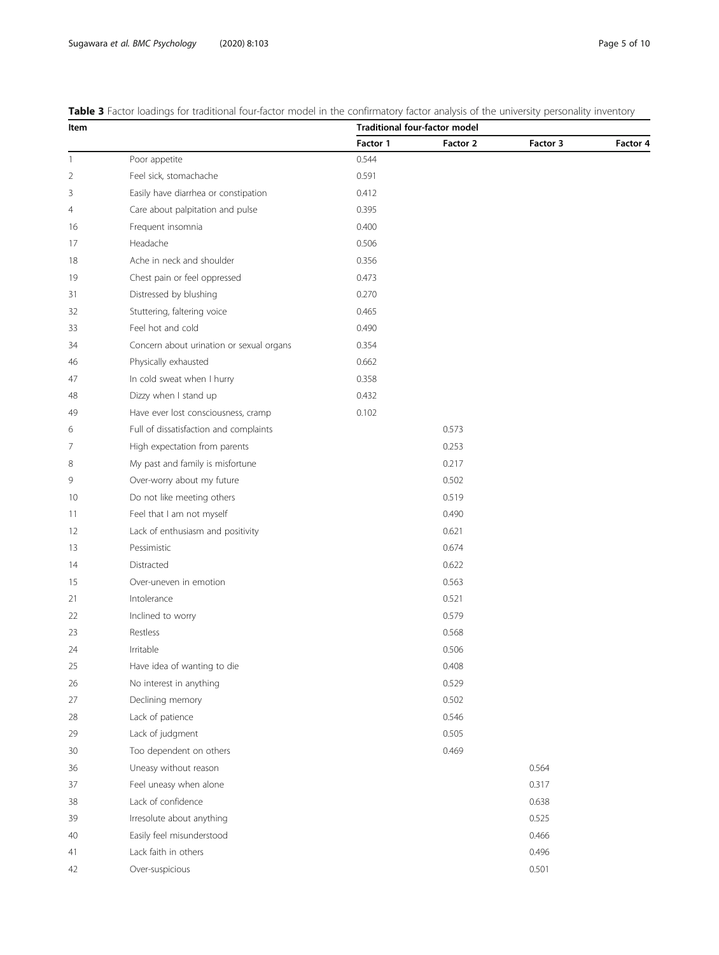<span id="page-4-0"></span>Table 3 Factor loadings for traditional four-factor model in the confirmatory factor analysis of the university personality inventory

| Item |                                          | <b>Traditional four-factor model</b> |          |          |          |  |  |  |
|------|------------------------------------------|--------------------------------------|----------|----------|----------|--|--|--|
|      |                                          | Factor 1                             | Factor 2 | Factor 3 | Factor 4 |  |  |  |
| 1    | Poor appetite                            | 0.544                                |          |          |          |  |  |  |
| 2    | Feel sick, stomachache                   | 0.591                                |          |          |          |  |  |  |
| 3    | Easily have diarrhea or constipation     | 0.412                                |          |          |          |  |  |  |
| 4    | Care about palpitation and pulse         | 0.395                                |          |          |          |  |  |  |
| 16   | Frequent insomnia                        | 0.400                                |          |          |          |  |  |  |
| 17   | Headache                                 | 0.506                                |          |          |          |  |  |  |
| 18   | Ache in neck and shoulder                | 0.356                                |          |          |          |  |  |  |
| 19   | Chest pain or feel oppressed             | 0.473                                |          |          |          |  |  |  |
| 31   | Distressed by blushing                   | 0.270                                |          |          |          |  |  |  |
| 32   | Stuttering, faltering voice              | 0.465                                |          |          |          |  |  |  |
| 33   | Feel hot and cold                        | 0.490                                |          |          |          |  |  |  |
| 34   | Concern about urination or sexual organs | 0.354                                |          |          |          |  |  |  |
| 46   | Physically exhausted                     | 0.662                                |          |          |          |  |  |  |
| 47   | In cold sweat when I hurry               | 0.358                                |          |          |          |  |  |  |
| 48   | Dizzy when I stand up                    | 0.432                                |          |          |          |  |  |  |
| 49   | Have ever lost consciousness, cramp      | 0.102                                |          |          |          |  |  |  |
| 6    | Full of dissatisfaction and complaints   |                                      | 0.573    |          |          |  |  |  |
| 7    | High expectation from parents            |                                      | 0.253    |          |          |  |  |  |
| 8    | My past and family is misfortune         |                                      | 0.217    |          |          |  |  |  |
| 9    | Over-worry about my future               |                                      | 0.502    |          |          |  |  |  |
| 10   | Do not like meeting others               |                                      | 0.519    |          |          |  |  |  |
| 11   | Feel that I am not myself                |                                      | 0.490    |          |          |  |  |  |
| 12   | Lack of enthusiasm and positivity        |                                      | 0.621    |          |          |  |  |  |
| 13   | Pessimistic                              |                                      | 0.674    |          |          |  |  |  |
| 14   | Distracted                               |                                      | 0.622    |          |          |  |  |  |
| 15   | Over-uneven in emotion                   |                                      | 0.563    |          |          |  |  |  |
| 21   | Intolerance                              |                                      | 0.521    |          |          |  |  |  |
| 22   | Inclined to worry                        |                                      | 0.579    |          |          |  |  |  |
| 23   | Restless                                 |                                      | 0.568    |          |          |  |  |  |
| 24   | Irritable                                |                                      | 0.506    |          |          |  |  |  |
| 25   | Have idea of wanting to die              |                                      | 0.408    |          |          |  |  |  |
| 26   | No interest in anything                  |                                      | 0.529    |          |          |  |  |  |
| 27   | Declining memory                         |                                      | 0.502    |          |          |  |  |  |
| 28   | Lack of patience                         |                                      | 0.546    |          |          |  |  |  |
| 29   | Lack of judgment                         |                                      | 0.505    |          |          |  |  |  |
| 30   | Too dependent on others                  |                                      | 0.469    |          |          |  |  |  |
| 36   | Uneasy without reason                    |                                      |          | 0.564    |          |  |  |  |
| 37   | Feel uneasy when alone                   |                                      |          | 0.317    |          |  |  |  |
| 38   | Lack of confidence                       |                                      |          | 0.638    |          |  |  |  |
| 39   | Irresolute about anything                |                                      |          | 0.525    |          |  |  |  |
| 40   | Easily feel misunderstood                |                                      |          | 0.466    |          |  |  |  |
| 41   | Lack faith in others                     |                                      |          | 0.496    |          |  |  |  |
| 42   | Over-suspicious                          |                                      |          | 0.501    |          |  |  |  |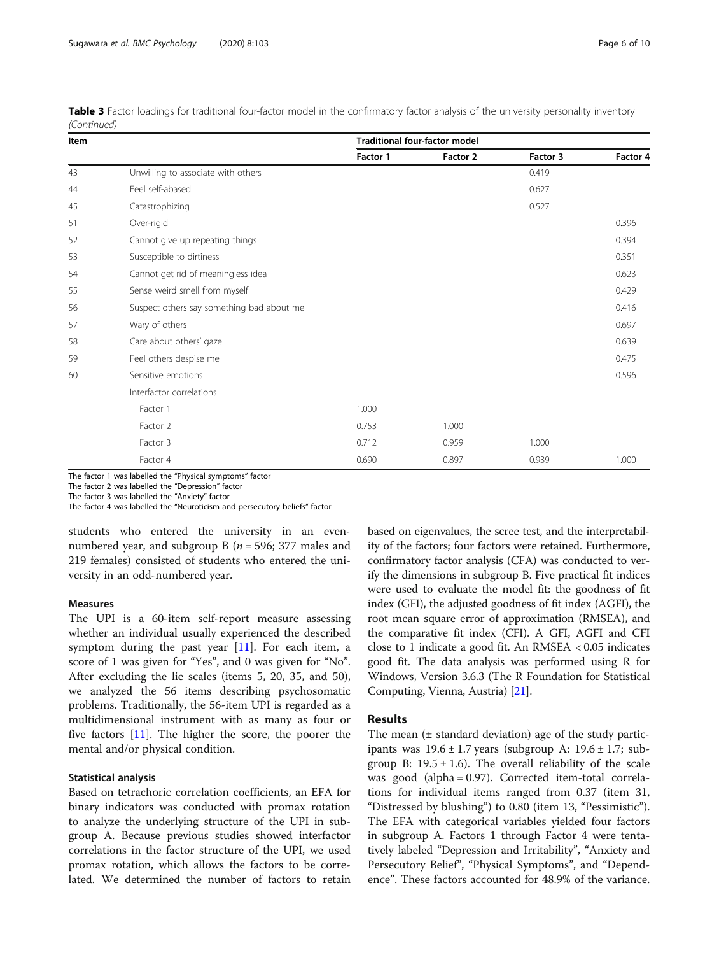| Item |                                           | Traditional four-factor model |          |          |          |  |  |  |
|------|-------------------------------------------|-------------------------------|----------|----------|----------|--|--|--|
|      |                                           | Factor 1                      | Factor 2 | Factor 3 | Factor 4 |  |  |  |
| 43   | Unwilling to associate with others        |                               |          | 0.419    |          |  |  |  |
| 44   | Feel self-abased                          |                               |          | 0.627    |          |  |  |  |
| 45   | Catastrophizing                           |                               |          | 0.527    |          |  |  |  |
| 51   | Over-rigid                                |                               |          |          | 0.396    |  |  |  |
| 52   | Cannot give up repeating things           |                               |          |          | 0.394    |  |  |  |
| 53   | Susceptible to dirtiness                  |                               |          |          | 0.351    |  |  |  |
| 54   | Cannot get rid of meaningless idea        |                               |          |          | 0.623    |  |  |  |
| 55   | Sense weird smell from myself             |                               |          |          | 0.429    |  |  |  |
| 56   | Suspect others say something bad about me |                               |          |          | 0.416    |  |  |  |
| 57   | Wary of others                            |                               |          |          | 0.697    |  |  |  |
| 58   | Care about others' gaze                   |                               |          |          | 0.639    |  |  |  |
| 59   | Feel others despise me                    |                               |          |          | 0.475    |  |  |  |
| 60   | Sensitive emotions                        |                               |          |          | 0.596    |  |  |  |
|      | Interfactor correlations                  |                               |          |          |          |  |  |  |
|      | Factor 1                                  | 1.000                         |          |          |          |  |  |  |
|      | Factor 2                                  | 0.753                         | 1.000    |          |          |  |  |  |
|      | Factor 3                                  | 0.712                         | 0.959    | 1.000    |          |  |  |  |
|      | Factor 4                                  | 0.690                         | 0.897    | 0.939    | 1.000    |  |  |  |

Table 3 Factor loadings for traditional four-factor model in the confirmatory factor analysis of the university personality inventory (Continued)

The factor 1 was labelled the "Physical symptoms" factor

The factor 2 was labelled the "Depression" factor

The factor 3 was labelled the "Anxiety" factor

The factor 4 was labelled the "Neuroticism and persecutory beliefs" factor

students who entered the university in an evennumbered year, and subgroup B ( $n = 596$ ; 377 males and 219 females) consisted of students who entered the university in an odd-numbered year.

## Measures

The UPI is a 60-item self-report measure assessing whether an individual usually experienced the described symptom during the past year [\[11](#page-9-0)]. For each item, a score of 1 was given for "Yes", and 0 was given for "No". After excluding the lie scales (items 5, 20, 35, and 50), we analyzed the 56 items describing psychosomatic problems. Traditionally, the 56-item UPI is regarded as a multidimensional instrument with as many as four or five factors [[11\]](#page-9-0). The higher the score, the poorer the mental and/or physical condition.

## Statistical analysis

Based on tetrachoric correlation coefficients, an EFA for binary indicators was conducted with promax rotation to analyze the underlying structure of the UPI in subgroup A. Because previous studies showed interfactor correlations in the factor structure of the UPI, we used promax rotation, which allows the factors to be correlated. We determined the number of factors to retain

based on eigenvalues, the scree test, and the interpretability of the factors; four factors were retained. Furthermore, confirmatory factor analysis (CFA) was conducted to verify the dimensions in subgroup B. Five practical fit indices were used to evaluate the model fit: the goodness of fit index (GFI), the adjusted goodness of fit index (AGFI), the root mean square error of approximation (RMSEA), and the comparative fit index (CFI). A GFI, AGFI and CFI close to 1 indicate a good fit. An RMSEA < 0.05 indicates good fit. The data analysis was performed using R for Windows, Version 3.6.3 (The R Foundation for Statistical Computing, Vienna, Austria) [\[21\]](#page-9-0).

# Results

The mean  $(\pm$  standard deviation) age of the study participants was  $19.6 \pm 1.7$  years (subgroup A:  $19.6 \pm 1.7$ ; subgroup B:  $19.5 \pm 1.6$ ). The overall reliability of the scale was good (alpha = 0.97). Corrected item-total correlations for individual items ranged from 0.37 (item 31, "Distressed by blushing") to 0.80 (item 13, "Pessimistic"). The EFA with categorical variables yielded four factors in subgroup A. Factors 1 through Factor 4 were tentatively labeled "Depression and Irritability", "Anxiety and Persecutory Belief", "Physical Symptoms", and "Dependence". These factors accounted for 48.9% of the variance.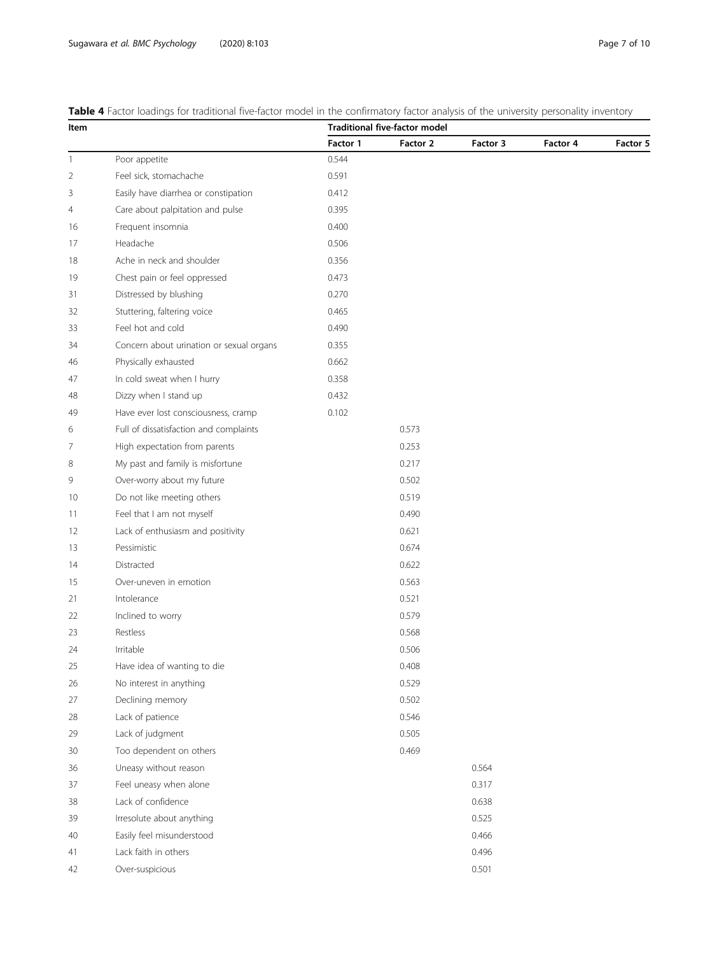| Item |                                          |          | <b>Table +</b> Lactor loadings for traditional live factor moderni the committatory factor analysis of the differently personality inventory<br><b>Traditional five-factor model</b> |          |          |          |  |  |
|------|------------------------------------------|----------|--------------------------------------------------------------------------------------------------------------------------------------------------------------------------------------|----------|----------|----------|--|--|
|      |                                          | Factor 1 | Factor 2                                                                                                                                                                             | Factor 3 | Factor 4 | Factor 5 |  |  |
| 1    | Poor appetite                            | 0.544    |                                                                                                                                                                                      |          |          |          |  |  |
| 2    | Feel sick, stomachache                   | 0.591    |                                                                                                                                                                                      |          |          |          |  |  |
| 3    | Easily have diarrhea or constipation     | 0.412    |                                                                                                                                                                                      |          |          |          |  |  |
| 4    | Care about palpitation and pulse         | 0.395    |                                                                                                                                                                                      |          |          |          |  |  |
| 16   | Frequent insomnia                        | 0.400    |                                                                                                                                                                                      |          |          |          |  |  |
| 17   | Headache                                 | 0.506    |                                                                                                                                                                                      |          |          |          |  |  |
| 18   | Ache in neck and shoulder                | 0.356    |                                                                                                                                                                                      |          |          |          |  |  |
| 19   | Chest pain or feel oppressed             | 0.473    |                                                                                                                                                                                      |          |          |          |  |  |
| 31   | Distressed by blushing                   | 0.270    |                                                                                                                                                                                      |          |          |          |  |  |
| 32   | Stuttering, faltering voice              | 0.465    |                                                                                                                                                                                      |          |          |          |  |  |
| 33   | Feel hot and cold                        | 0.490    |                                                                                                                                                                                      |          |          |          |  |  |
| 34   | Concern about urination or sexual organs | 0.355    |                                                                                                                                                                                      |          |          |          |  |  |
| 46   | Physically exhausted                     | 0.662    |                                                                                                                                                                                      |          |          |          |  |  |
| 47   | In cold sweat when I hurry               | 0.358    |                                                                                                                                                                                      |          |          |          |  |  |
| 48   | Dizzy when I stand up                    | 0.432    |                                                                                                                                                                                      |          |          |          |  |  |
| 49   | Have ever lost consciousness, cramp      | 0.102    |                                                                                                                                                                                      |          |          |          |  |  |
| 6    | Full of dissatisfaction and complaints   |          | 0.573                                                                                                                                                                                |          |          |          |  |  |
| 7    | High expectation from parents            |          | 0.253                                                                                                                                                                                |          |          |          |  |  |
| 8    | My past and family is misfortune         |          | 0.217                                                                                                                                                                                |          |          |          |  |  |
| 9    | Over-worry about my future               |          | 0.502                                                                                                                                                                                |          |          |          |  |  |
| 10   | Do not like meeting others               |          | 0.519                                                                                                                                                                                |          |          |          |  |  |
| 11   | Feel that I am not myself                |          | 0.490                                                                                                                                                                                |          |          |          |  |  |
| 12   | Lack of enthusiasm and positivity        |          | 0.621                                                                                                                                                                                |          |          |          |  |  |
| 13   | Pessimistic                              |          | 0.674                                                                                                                                                                                |          |          |          |  |  |
| 14   | Distracted                               |          | 0.622                                                                                                                                                                                |          |          |          |  |  |
| 15   | Over-uneven in emotion                   |          | 0.563                                                                                                                                                                                |          |          |          |  |  |
| 21   | Intolerance                              |          | 0.521                                                                                                                                                                                |          |          |          |  |  |
| 22   | Inclined to worry                        |          | 0.579                                                                                                                                                                                |          |          |          |  |  |
| 23   | Restless                                 |          | 0.568                                                                                                                                                                                |          |          |          |  |  |
| 24   | Irritable                                |          | 0.506                                                                                                                                                                                |          |          |          |  |  |
| 25   | Have idea of wanting to die              |          | 0.408                                                                                                                                                                                |          |          |          |  |  |
| 26   | No interest in anything                  |          | 0.529                                                                                                                                                                                |          |          |          |  |  |
| 27   | Declining memory                         |          | 0.502                                                                                                                                                                                |          |          |          |  |  |
| 28   | Lack of patience                         |          | 0.546                                                                                                                                                                                |          |          |          |  |  |
| 29   | Lack of judgment                         |          | 0.505                                                                                                                                                                                |          |          |          |  |  |
| 30   | Too dependent on others                  |          | 0.469                                                                                                                                                                                |          |          |          |  |  |
| 36   | Uneasy without reason                    |          |                                                                                                                                                                                      | 0.564    |          |          |  |  |
| 37   | Feel uneasy when alone                   |          |                                                                                                                                                                                      | 0.317    |          |          |  |  |
| 38   | Lack of confidence                       |          |                                                                                                                                                                                      | 0.638    |          |          |  |  |
| 39   | Irresolute about anything                |          |                                                                                                                                                                                      | 0.525    |          |          |  |  |
| 40   | Easily feel misunderstood                |          |                                                                                                                                                                                      | 0.466    |          |          |  |  |
| 41   | Lack faith in others                     |          |                                                                                                                                                                                      | 0.496    |          |          |  |  |
| 42   | Over-suspicious                          |          |                                                                                                                                                                                      | 0.501    |          |          |  |  |

# <span id="page-6-0"></span>Table 4 Factor loadings for traditional five-factor model in the confirmatory factor analysis of the university personality inventory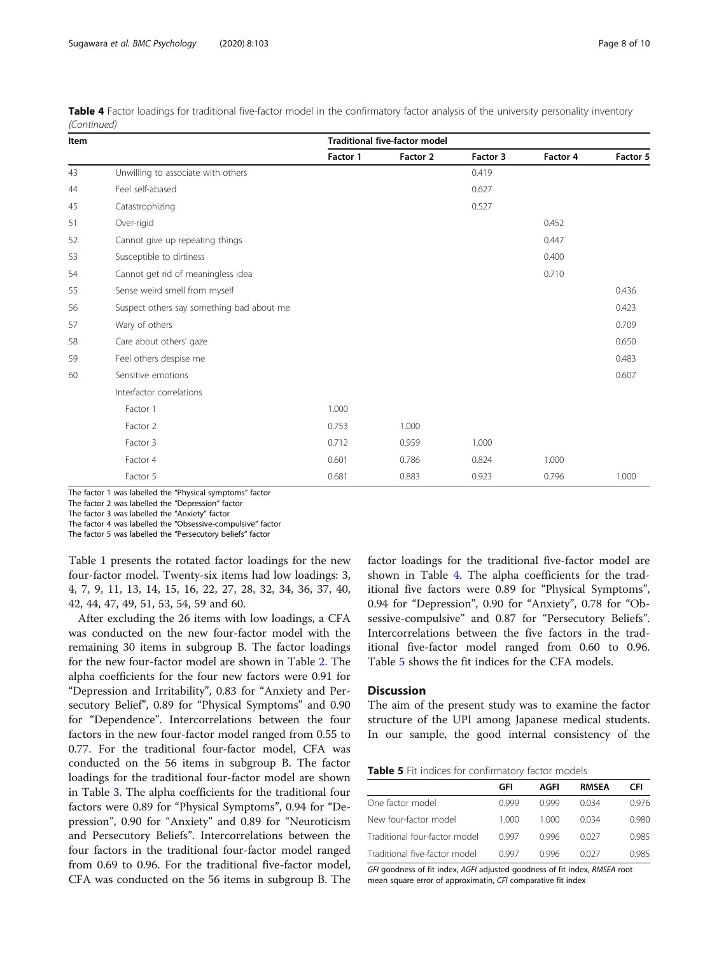| Item |                                           | <b>Traditional five-factor model</b> |          |          |          |          |  |  |  |
|------|-------------------------------------------|--------------------------------------|----------|----------|----------|----------|--|--|--|
|      |                                           | Factor 1                             | Factor 2 | Factor 3 | Factor 4 | Factor 5 |  |  |  |
| 43   | Unwilling to associate with others        |                                      |          | 0.419    |          |          |  |  |  |
| 44   | Feel self-abased                          |                                      |          | 0.627    |          |          |  |  |  |
| 45   | Catastrophizing                           |                                      |          | 0.527    |          |          |  |  |  |
| 51   | Over-rigid                                |                                      |          |          | 0.452    |          |  |  |  |
| 52   | Cannot give up repeating things           |                                      |          |          | 0.447    |          |  |  |  |
| 53   | Susceptible to dirtiness                  |                                      |          |          | 0.400    |          |  |  |  |
| 54   | Cannot get rid of meaningless idea        |                                      |          |          | 0.710    |          |  |  |  |
| 55   | Sense weird smell from myself             |                                      |          |          |          | 0.436    |  |  |  |
| 56   | Suspect others say something bad about me |                                      |          |          |          | 0.423    |  |  |  |
| 57   | Wary of others                            |                                      |          |          |          | 0.709    |  |  |  |
| 58   | Care about others' gaze                   |                                      |          |          |          | 0.650    |  |  |  |
| 59   | Feel others despise me                    |                                      |          |          |          | 0.483    |  |  |  |
| 60   | Sensitive emotions                        |                                      |          |          |          | 0.607    |  |  |  |
|      | Interfactor correlations                  |                                      |          |          |          |          |  |  |  |
|      | Factor 1                                  | 1.000                                |          |          |          |          |  |  |  |
|      | Factor 2                                  | 0.753                                | 1.000    |          |          |          |  |  |  |
|      | Factor 3                                  | 0.712                                | 0.959    | 1.000    |          |          |  |  |  |
|      | Factor 4                                  | 0.601                                | 0.786    | 0.824    | 1.000    |          |  |  |  |
|      | Factor 5                                  | 0.681                                | 0.883    | 0.923    | 0.796    | 1.000    |  |  |  |

<span id="page-7-0"></span>

| Table 4 Factor loadings for traditional five-factor model in the confirmatory factor analysis of the university personality inventory |  |  |  |  |  |  |
|---------------------------------------------------------------------------------------------------------------------------------------|--|--|--|--|--|--|
| (Continued)                                                                                                                           |  |  |  |  |  |  |

The factor 1 was labelled the "Physical symptoms" factor

The factor 2 was labelled the "Depression" factor

The factor 3 was labelled the "Anxiety" factor

The factor 4 was labelled the "Obsessive-compulsive" factor

The factor 5 was labelled the "Persecutory beliefs" factor

Table [1](#page-1-0) presents the rotated factor loadings for the new four-factor model. Twenty-six items had low loadings: 3, 4, 7, 9, 11, 13, 14, 15, 16, 22, 27, 28, 32, 34, 36, 37, 40, 42, 44, 47, 49, 51, 53, 54, 59 and 60.

After excluding the 26 items with low loadings, a CFA was conducted on the new four-factor model with the remaining 30 items in subgroup B. The factor loadings for the new four-factor model are shown in Table [2](#page-3-0). The alpha coefficients for the four new factors were 0.91 for "Depression and Irritability", 0.83 for "Anxiety and Persecutory Belief", 0.89 for "Physical Symptoms" and 0.90 for "Dependence". Intercorrelations between the four factors in the new four-factor model ranged from 0.55 to 0.77. For the traditional four-factor model, CFA was conducted on the 56 items in subgroup B. The factor loadings for the traditional four-factor model are shown in Table [3.](#page-4-0) The alpha coefficients for the traditional four factors were 0.89 for "Physical Symptoms", 0.94 for "Depression", 0.90 for "Anxiety" and 0.89 for "Neuroticism and Persecutory Beliefs". Intercorrelations between the four factors in the traditional four-factor model ranged from 0.69 to 0.96. For the traditional five-factor model, CFA was conducted on the 56 items in subgroup B. The factor loadings for the traditional five-factor model are shown in Table [4.](#page-6-0) The alpha coefficients for the traditional five factors were 0.89 for "Physical Symptoms", 0.94 for "Depression", 0.90 for "Anxiety", 0.78 for "Obsessive-compulsive" and 0.87 for "Persecutory Beliefs". Intercorrelations between the five factors in the traditional five-factor model ranged from 0.60 to 0.96. Table 5 shows the fit indices for the CFA models.

### **Discussion**

The aim of the present study was to examine the factor structure of the UPI among Japanese medical students. In our sample, the good internal consistency of the

|                               | GFI   | AGFI  | <b>RMSEA</b> | CFI   |
|-------------------------------|-------|-------|--------------|-------|
| One factor model              | 0.999 | O 999 | 0.034        | 0.976 |
| New four-factor model         | 1.000 | 1.000 | 0034         | 0.980 |
| Traditional four-factor model | 0.997 | 0.996 | 0027         | 0.985 |
| Traditional five-factor model | n 997 | N 996 | 0027         | 0.985 |

GFI goodness of fit index, AGFI adjusted goodness of fit index, RMSEA root mean square error of approximatin, CFI comparative fit index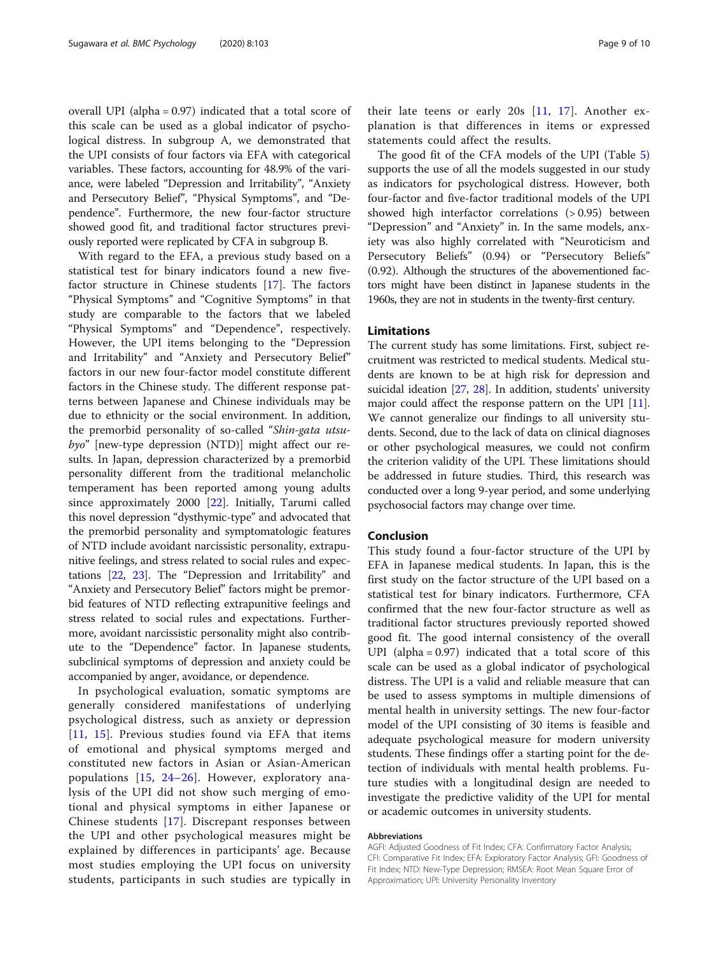overall UPI (alpha = 0.97) indicated that a total score of this scale can be used as a global indicator of psychological distress. In subgroup A, we demonstrated that the UPI consists of four factors via EFA with categorical variables. These factors, accounting for 48.9% of the variance, were labeled "Depression and Irritability", "Anxiety and Persecutory Belief", "Physical Symptoms", and "Dependence". Furthermore, the new four-factor structure showed good fit, and traditional factor structures previously reported were replicated by CFA in subgroup B.

With regard to the EFA, a previous study based on a statistical test for binary indicators found a new fivefactor structure in Chinese students [\[17](#page-9-0)]. The factors "Physical Symptoms" and "Cognitive Symptoms" in that study are comparable to the factors that we labeled "Physical Symptoms" and "Dependence", respectively. However, the UPI items belonging to the "Depression and Irritability" and "Anxiety and Persecutory Belief" factors in our new four-factor model constitute different factors in the Chinese study. The different response patterns between Japanese and Chinese individuals may be due to ethnicity or the social environment. In addition, the premorbid personality of so-called "Shin-gata utsubyo" [new-type depression (NTD)] might affect our results. In Japan, depression characterized by a premorbid personality different from the traditional melancholic temperament has been reported among young adults since approximately 2000 [\[22](#page-9-0)]. Initially, Tarumi called this novel depression "dysthymic-type" and advocated that the premorbid personality and symptomatologic features of NTD include avoidant narcissistic personality, extrapunitive feelings, and stress related to social rules and expectations [\[22](#page-9-0), [23\]](#page-9-0). The "Depression and Irritability" and "Anxiety and Persecutory Belief" factors might be premorbid features of NTD reflecting extrapunitive feelings and stress related to social rules and expectations. Furthermore, avoidant narcissistic personality might also contribute to the "Dependence" factor. In Japanese students, subclinical symptoms of depression and anxiety could be accompanied by anger, avoidance, or dependence.

In psychological evaluation, somatic symptoms are generally considered manifestations of underlying psychological distress, such as anxiety or depression [[11](#page-9-0), [15\]](#page-9-0). Previous studies found via EFA that items of emotional and physical symptoms merged and constituted new factors in Asian or Asian-American populations [[15,](#page-9-0) [24](#page-9-0)–[26](#page-9-0)]. However, exploratory analysis of the UPI did not show such merging of emotional and physical symptoms in either Japanese or Chinese students [[17\]](#page-9-0). Discrepant responses between the UPI and other psychological measures might be explained by differences in participants' age. Because most studies employing the UPI focus on university students, participants in such studies are typically in

their late teens or early 20s [[11](#page-9-0), [17\]](#page-9-0). Another explanation is that differences in items or expressed statements could affect the results.

The good fit of the CFA models of the UPI (Table [5](#page-7-0)) supports the use of all the models suggested in our study as indicators for psychological distress. However, both four-factor and five-factor traditional models of the UPI showed high interfactor correlations (> 0.95) between "Depression" and "Anxiety" in. In the same models, anxiety was also highly correlated with "Neuroticism and Persecutory Beliefs" (0.94) or "Persecutory Beliefs" (0.92). Although the structures of the abovementioned factors might have been distinct in Japanese students in the 1960s, they are not in students in the twenty-first century.

# Limitations

The current study has some limitations. First, subject recruitment was restricted to medical students. Medical students are known to be at high risk for depression and suicidal ideation [[27,](#page-9-0) [28\]](#page-9-0). In addition, students' university major could affect the response pattern on the UPI [[11](#page-9-0)]. We cannot generalize our findings to all university students. Second, due to the lack of data on clinical diagnoses or other psychological measures, we could not confirm the criterion validity of the UPI. These limitations should be addressed in future studies. Third, this research was conducted over a long 9-year period, and some underlying psychosocial factors may change over time.

## Conclusion

This study found a four-factor structure of the UPI by EFA in Japanese medical students. In Japan, this is the first study on the factor structure of the UPI based on a statistical test for binary indicators. Furthermore, CFA confirmed that the new four-factor structure as well as traditional factor structures previously reported showed good fit. The good internal consistency of the overall UPI (alpha  $= 0.97$ ) indicated that a total score of this scale can be used as a global indicator of psychological distress. The UPI is a valid and reliable measure that can be used to assess symptoms in multiple dimensions of mental health in university settings. The new four-factor model of the UPI consisting of 30 items is feasible and adequate psychological measure for modern university students. These findings offer a starting point for the detection of individuals with mental health problems. Future studies with a longitudinal design are needed to investigate the predictive validity of the UPI for mental or academic outcomes in university students.

#### Abbreviations

AGFI: Adjusted Goodness of Fit Index; CFA: Confirmatory Factor Analysis; CFI: Comparative Fit Index; EFA: Exploratory Factor Analysis; GFI: Goodness of Fit Index; NTD: New-Type Depression; RMSEA: Root Mean Square Error of Approximation; UPI: University Personality Inventory